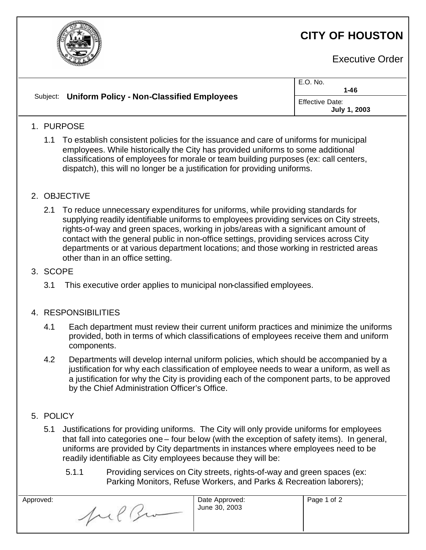

# **CITY OF HOUSTON**

Executive Order

|                                                    | E.O. No.<br>$1 - 46$                   |
|----------------------------------------------------|----------------------------------------|
| Subject: Uniform Policy - Non-Classified Employees | <b>Effective Date:</b><br>July 1, 2003 |
| <b>DUDDACE</b>                                     |                                        |

## 1. PURPOSE

1.1 To establish consistent policies for the issuance and care of uniforms for municipal employees. While historically the City has provided uniforms to some additional classifications of employees for morale or team building purposes (ex: call centers, dispatch), this will no longer be a justification for providing uniforms.

### 2. OBJECTIVE

2.1 To reduce unnecessary expenditures for uniforms, while providing standards for supplying readily identifiable uniforms to employees providing services on City streets, rights-of-way and green spaces, working in jobs/areas with a significant amount of contact with the general public in non-office settings, providing services across City departments or at various department locations; and those working in restricted areas other than in an office setting.

#### 3. SCOPE

3.1 This executive order applies to municipal non-classified employees.

### 4. RESPONSIBILITIES

- 4.1 Each department must review their current uniform practices and minimize the uniforms provided, both in terms of which classifications of employees receive them and uniform components.
- 4.2 Departments will develop internal uniform policies, which should be accompanied by a justification for why each classification of employee needs to wear a uniform, as well as a justification for why the City is providing each of the component parts, to be approved by the Chief Administration Officer's Office.
- 5. POLICY
	- 5.1 Justifications for providing uniforms. The City will only provide uniforms for employees that fall into categories one – four below (with the exception of safety items). In general, uniforms are provided by City departments in instances where employees need to be readily identifiable as City employees because they will be:
		- 5.1.1 Providing services on City streets, rights-of-way and green spaces (ex: Parking Monitors, Refuse Workers, and Parks & Recreation laborers);

| Approved: | Date Approved:<br>June 30, 2003 | Page 1 of 2 |
|-----------|---------------------------------|-------------|
|           |                                 |             |